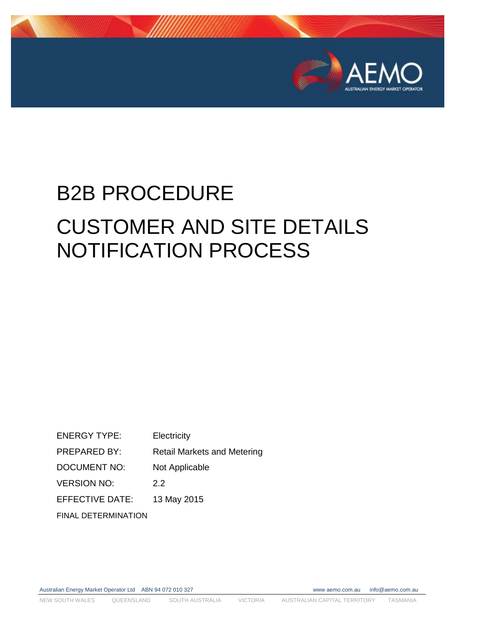

# B2B PROCEDURE CUSTOMER AND SITE DETAILS NOTIFICATION PROCESS

ENERGY TYPE: Electricity PREPARED BY: Retail Markets and Metering DOCUMENT NO: Not Applicable VERSION NO: 2.2 EFFECTIVE DATE: 13 May 2015 FINAL DETERMINATION

Australian Energy Market Operator Ltd ABN 94 072 010 327 www aemo.com.au info@aemo.com.au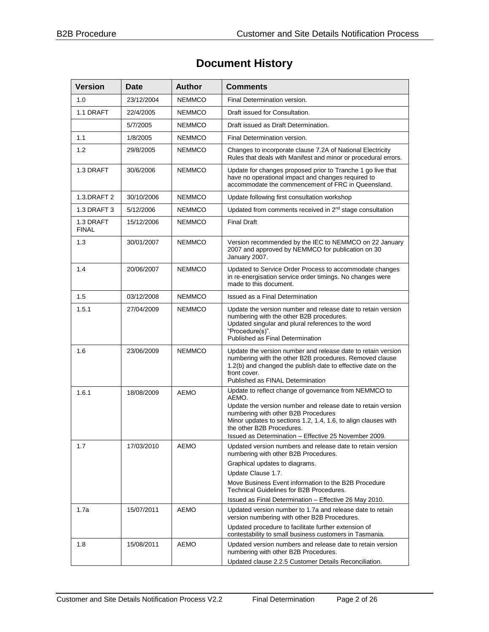## **Document History**

| <b>Version</b>            | <b>Date</b> | <b>Author</b> | <b>Comments</b>                                                                                                                                                                                                                                                                                                               |
|---------------------------|-------------|---------------|-------------------------------------------------------------------------------------------------------------------------------------------------------------------------------------------------------------------------------------------------------------------------------------------------------------------------------|
| 1.0                       | 23/12/2004  | <b>NEMMCO</b> | Final Determination version.                                                                                                                                                                                                                                                                                                  |
| 1.1 DRAFT                 | 22/4/2005   | <b>NEMMCO</b> | Draft issued for Consultation.                                                                                                                                                                                                                                                                                                |
|                           | 5/7/2005    | <b>NEMMCO</b> | Draft issued as Draft Determination.                                                                                                                                                                                                                                                                                          |
| 1.1                       | 1/8/2005    | NEMMCO        | Final Determination version.                                                                                                                                                                                                                                                                                                  |
| 1.2                       | 29/8/2005   | <b>NEMMCO</b> | Changes to incorporate clause 7.2A of National Electricity<br>Rules that deals with Manifest and minor or procedural errors.                                                                                                                                                                                                  |
| 1.3 DRAFT                 | 30/6/2006   | <b>NEMMCO</b> | Update for changes proposed prior to Tranche 1 go live that<br>have no operational impact and changes required to<br>accommodate the commencement of FRC in Queensland.                                                                                                                                                       |
| 1.3.DRAFT 2               | 30/10/2006  | <b>NEMMCO</b> | Update following first consultation workshop                                                                                                                                                                                                                                                                                  |
| 1.3 DRAFT 3               | 5/12/2006   | <b>NEMMCO</b> | Updated from comments received in 2 <sup>nd</sup> stage consultation                                                                                                                                                                                                                                                          |
| 1.3 DRAFT<br><b>FINAL</b> | 15/12/2006  | <b>NEMMCO</b> | <b>Final Draft</b>                                                                                                                                                                                                                                                                                                            |
| 1.3                       | 30/01/2007  | <b>NEMMCO</b> | Version recommended by the IEC to NEMMCO on 22 January<br>2007 and approved by NEMMCO for publication on 30<br>January 2007.                                                                                                                                                                                                  |
| 1.4                       | 20/06/2007  | <b>NEMMCO</b> | Updated to Service Order Process to accommodate changes<br>in re-energisation service order timings. No changes were<br>made to this document.                                                                                                                                                                                |
| 1.5                       | 03/12/2008  | <b>NEMMCO</b> | Issued as a Final Determination                                                                                                                                                                                                                                                                                               |
| 1.5.1                     | 27/04/2009  | <b>NEMMCO</b> | Update the version number and release date to retain version<br>numbering with the other B2B procedures.<br>Updated singular and plural references to the word<br>"Procedure(s)".<br>Published as Final Determination                                                                                                         |
| 1.6                       | 23/06/2009  | <b>NEMMCO</b> | Update the version number and release date to retain version<br>numbering with the other B2B procedures. Removed clause<br>1.2(b) and changed the publish date to effective date on the<br>front cover.<br>Published as FINAL Determination                                                                                   |
| 1.6.1                     | 18/08/2009  | <b>AEMO</b>   | Update to reflect change of governance from NEMMCO to<br>AEMO.<br>Update the version number and release date to retain version<br>numbering with other B2B Procedures<br>Minor updates to sections 1.2, 1.4, 1.6, to align clauses with<br>the other B2B Procedures.<br>Issued as Determination - Effective 25 November 2009. |
| 1.7                       | 17/03/2010  | AEMO          | Updated version numbers and release date to retain version<br>numbering with other B2B Procedures.                                                                                                                                                                                                                            |
|                           |             |               | Graphical updates to diagrams.<br>Update Clause 1.7.                                                                                                                                                                                                                                                                          |
|                           |             |               | Move Business Event information to the B2B Procedure<br>Technical Guidelines for B2B Procedures.                                                                                                                                                                                                                              |
|                           |             |               | Issued as Final Determination - Effective 26 May 2010.                                                                                                                                                                                                                                                                        |
| 1.7a                      | 15/07/2011  | AEMO          | Updated version number to 1.7a and release date to retain<br>version numbering with other B2B Procedures.                                                                                                                                                                                                                     |
|                           |             |               | Updated procedure to facilitate further extension of<br>contestability to small business customers in Tasmania.                                                                                                                                                                                                               |
| 1.8                       | 15/08/2011  | AEMO          | Updated version numbers and release date to retain version<br>numbering with other B2B Procedures.<br>Updated clause 2.2.5 Customer Details Reconciliation.                                                                                                                                                                   |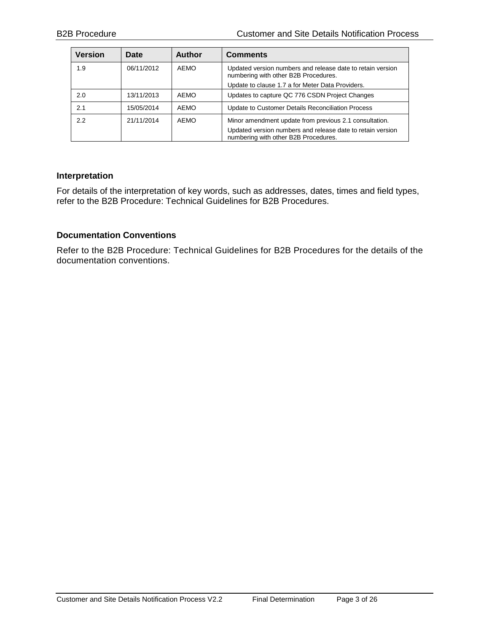| <b>Version</b> | Date       | <b>Author</b> | <b>Comments</b>                                                                                                                                              |
|----------------|------------|---------------|--------------------------------------------------------------------------------------------------------------------------------------------------------------|
| 1.9            | 06/11/2012 | AEMO          | Updated version numbers and release date to retain version<br>numbering with other B2B Procedures.                                                           |
|                |            |               | Update to clause 1.7 a for Meter Data Providers.                                                                                                             |
| 2.0            | 13/11/2013 | AEMO          | Updates to capture QC 776 CSDN Project Changes                                                                                                               |
| 2.1            | 15/05/2014 | AEMO          | Update to Customer Details Reconciliation Process                                                                                                            |
| 2.2            | 21/11/2014 | AEMO          | Minor amendment update from previous 2.1 consultation.<br>Updated version numbers and release date to retain version<br>numbering with other B2B Procedures. |

#### **Interpretation**

For details of the interpretation of key words, such as addresses, dates, times and field types, refer to the B2B Procedure: Technical Guidelines for B2B Procedures.

#### **Documentation Conventions**

Refer to the B2B Procedure: Technical Guidelines for B2B Procedures for the details of the documentation conventions.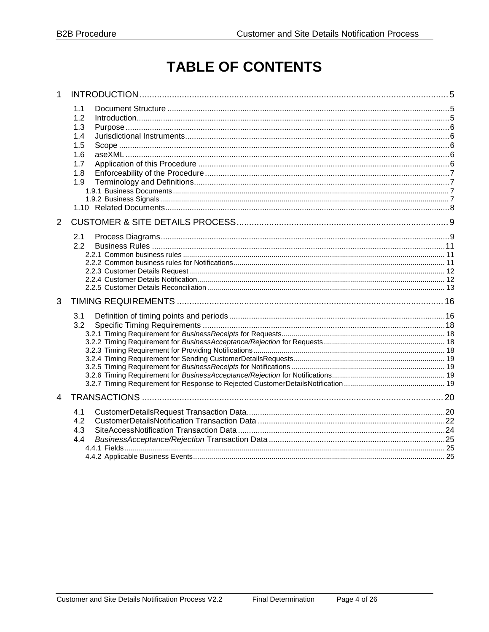## **TABLE OF CONTENTS**

| 1.1<br>1.2<br>1.3<br>1.4<br>1.5<br>1.6<br>1.7<br>1.8<br>1.9 |  |
|-------------------------------------------------------------|--|
| 2.1<br>2.2                                                  |  |
| 3.1<br>3.2                                                  |  |
| 4.1<br>4.2<br>4.3<br>4.4                                    |  |
|                                                             |  |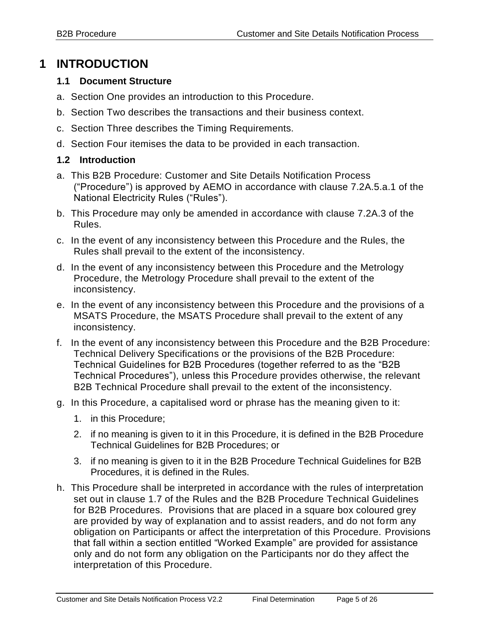## <span id="page-4-0"></span>**1 INTRODUCTION**

#### <span id="page-4-1"></span>**1.1 Document Structure**

- a. Section One provides an introduction to this Procedure.
- b. Section Two describes the transactions and their business context.
- c. Section Three describes the Timing Requirements.
- d. Section Four itemises the data to be provided in each transaction.

#### <span id="page-4-2"></span>**1.2 Introduction**

- a. This B2B Procedure: Customer and Site Details Notification Process ("Procedure") is approved by AEMO in accordance with clause 7.2A.5.a.1 of the National Electricity Rules ("Rules").
- b. This Procedure may only be amended in accordance with clause 7.2A.3 of the Rules.
- c. In the event of any inconsistency between this Procedure and the Rules, the Rules shall prevail to the extent of the inconsistency.
- d. In the event of any inconsistency between this Procedure and the Metrology Procedure, the Metrology Procedure shall prevail to the extent of the inconsistency.
- e. In the event of any inconsistency between this Procedure and the provisions of a MSATS Procedure, the MSATS Procedure shall prevail to the extent of any inconsistency.
- f. In the event of any inconsistency between this Procedure and the B2B Procedure: Technical Delivery Specifications or the provisions of the B2B Procedure: Technical Guidelines for B2B Procedures (together referred to as the "B2B Technical Procedures"), unless this Procedure provides otherwise, the relevant B2B Technical Procedure shall prevail to the extent of the inconsistency.
- g. In this Procedure, a capitalised word or phrase has the meaning given to it:
	- 1. in this Procedure;
	- 2. if no meaning is given to it in this Procedure, it is defined in the B2B Procedure Technical Guidelines for B2B Procedures; or
	- 3. if no meaning is given to it in the B2B Procedure Technical Guidelines for B2B Procedures, it is defined in the Rules.
- h. This Procedure shall be interpreted in accordance with the rules of interpretation set out in clause 1.7 of the Rules and the B2B Procedure Technical Guidelines for B2B Procedures. Provisions that are placed in a square box coloured grey are provided by way of explanation and to assist readers, and do not form any obligation on Participants or affect the interpretation of this Procedure. Provisions that fall within a section entitled "Worked Example" are provided for assistance only and do not form any obligation on the Participants nor do they affect the interpretation of this Procedure.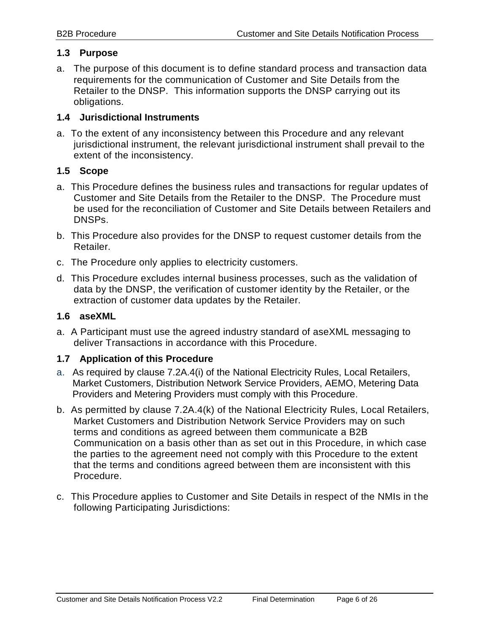#### <span id="page-5-0"></span>**1.3 Purpose**

a. The purpose of this document is to define standard process and transaction data requirements for the communication of Customer and Site Details from the Retailer to the DNSP. This information supports the DNSP carrying out its obligations.

#### <span id="page-5-1"></span>**1.4 Jurisdictional Instruments**

a. To the extent of any inconsistency between this Procedure and any relevant jurisdictional instrument, the relevant jurisdictional instrument shall prevail to the extent of the inconsistency.

#### <span id="page-5-2"></span>**1.5 Scope**

- a. This Procedure defines the business rules and transactions for regular updates of Customer and Site Details from the Retailer to the DNSP. The Procedure must be used for the reconciliation of Customer and Site Details between Retailers and DNSPs.
- b. This Procedure also provides for the DNSP to request customer details from the Retailer.
- c. The Procedure only applies to electricity customers.
- d. This Procedure excludes internal business processes, such as the validation of data by the DNSP, the verification of customer identity by the Retailer, or the extraction of customer data updates by the Retailer.

#### <span id="page-5-3"></span>**1.6 aseXML**

a. A Participant must use the agreed industry standard of aseXML messaging to deliver Transactions in accordance with this Procedure.

#### <span id="page-5-4"></span>**1.7 Application of this Procedure**

- a. As required by clause 7.2A.4(i) of the National Electricity Rules, Local Retailers, Market Customers, Distribution Network Service Providers, AEMO, Metering Data Providers and Metering Providers must comply with this Procedure.
- b. As permitted by clause 7.2A.4(k) of the National Electricity Rules, Local Retailers, Market Customers and Distribution Network Service Providers may on such terms and conditions as agreed between them communicate a B2B Communication on a basis other than as set out in this Procedure, in which case the parties to the agreement need not comply with this Procedure to the extent that the terms and conditions agreed between them are inconsistent with this Procedure.
- c. This Procedure applies to Customer and Site Details in respect of the NMIs in the following Participating Jurisdictions: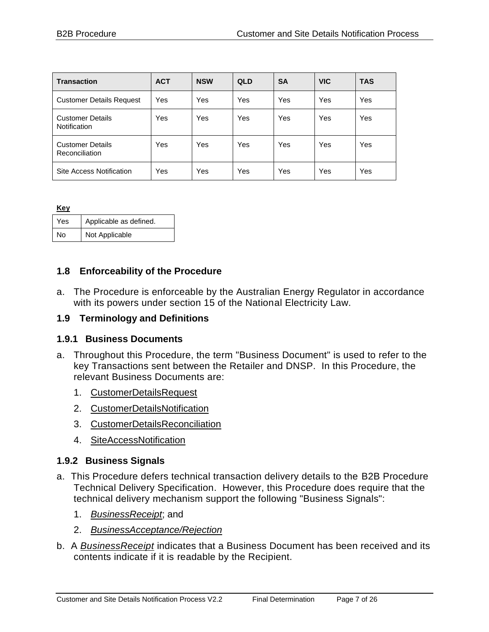| <b>Transaction</b>                        | <b>ACT</b> | <b>NSW</b> | <b>QLD</b> | <b>SA</b> | <b>VIC</b> | <b>TAS</b> |
|-------------------------------------------|------------|------------|------------|-----------|------------|------------|
| <b>Customer Details Request</b>           | Yes        | Yes        | Yes        | Yes       | Yes        | Yes        |
| <b>Customer Details</b><br>Notification   | Yes        | Yes        | Yes        | Yes       | Yes        | Yes        |
| <b>Customer Details</b><br>Reconciliation | Yes        | Yes        | Yes        | Yes       | Yes        | Yes        |
| Site Access Notification                  | Yes        | Yes        | Yes        | Yes       | Yes        | Yes        |

| Kev |                        |
|-----|------------------------|
| Yes | Applicable as defined. |
| No  | Not Applicable         |

#### <span id="page-6-0"></span>**1.8 Enforceability of the Procedure**

a. The Procedure is enforceable by the Australian Energy Regulator in accordance with its powers under section 15 of the National Electricity Law.

#### <span id="page-6-1"></span>**1.9 Terminology and Definitions**

#### <span id="page-6-2"></span>**1.9.1 Business Documents**

- a. Throughout this Procedure, the term "Business Document" is used to refer to the key Transactions sent between the Retailer and DNSP. In this Procedure, the relevant Business Documents are:
	- 1. CustomerDetailsRequest
	- 2. CustomerDetailsNotification
	- 3. CustomerDetailsReconciliation
	- 4. SiteAccessNotification

#### <span id="page-6-3"></span>**1.9.2 Business Signals**

- a. This Procedure defers technical transaction delivery details to the B2B Procedure Technical Delivery Specification. However, this Procedure does require that the technical delivery mechanism support the following "Business Signals":
	- 1. *BusinessReceipt*; and
	- 2. *BusinessAcceptance/Rejection*
- b. A *BusinessReceipt* indicates that a Business Document has been received and its contents indicate if it is readable by the Recipient.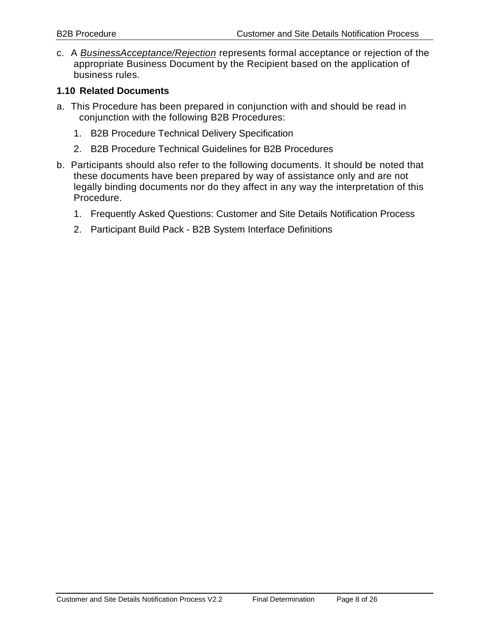c. A *BusinessAcceptance/Rejection* represents formal acceptance or rejection of the appropriate Business Document by the Recipient based on the application of business rules.

#### <span id="page-7-0"></span>**1.10 Related Documents**

- a. This Procedure has been prepared in conjunction with and should be read in conjunction with the following B2B Procedures:
	- 1. B2B Procedure Technical Delivery Specification
	- 2. B2B Procedure Technical Guidelines for B2B Procedures
- b. Participants should also refer to the following documents. It should be noted that these documents have been prepared by way of assistance only and are not legally binding documents nor do they affect in any way the interpretation of this Procedure.
	- 1. Frequently Asked Questions: Customer and Site Details Notification Process
	- 2. Participant Build Pack B2B System Interface Definitions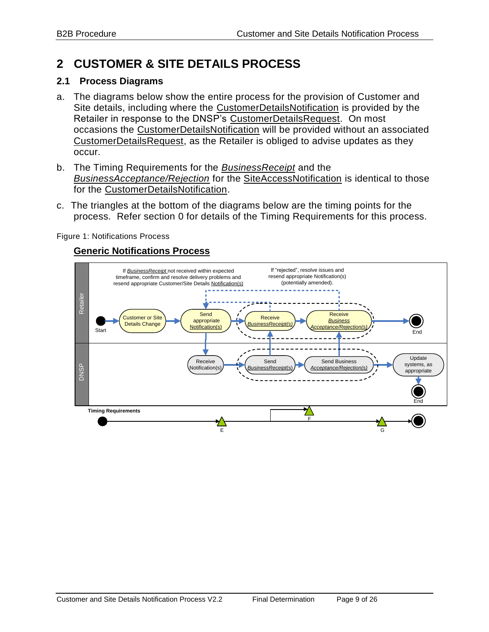## <span id="page-8-0"></span>**2 CUSTOMER & SITE DETAILS PROCESS**

#### <span id="page-8-1"></span>**2.1 Process Diagrams**

- a. The diagrams below show the entire process for the provision of Customer and Site details, including where the CustomerDetailsNotification is provided by the Retailer in response to the DNSP's CustomerDetailsRequest. On most occasions the CustomerDetailsNotification will be provided without an associated CustomerDetailsRequest, as the Retailer is obliged to advise updates as they occur.
- b. The Timing Requirements for the *BusinessReceipt* and the *BusinessAcceptance/Rejection* for the SiteAccessNotification is identical to those for the CustomerDetailsNotification.
- c. The triangles at the bottom of the diagrams below are the timing points for the process. Refer section [0](#page-14-0) for details of the Timing Requirements for this process.

Figure 1: Notifications Process

#### **Generic Notifications Process**

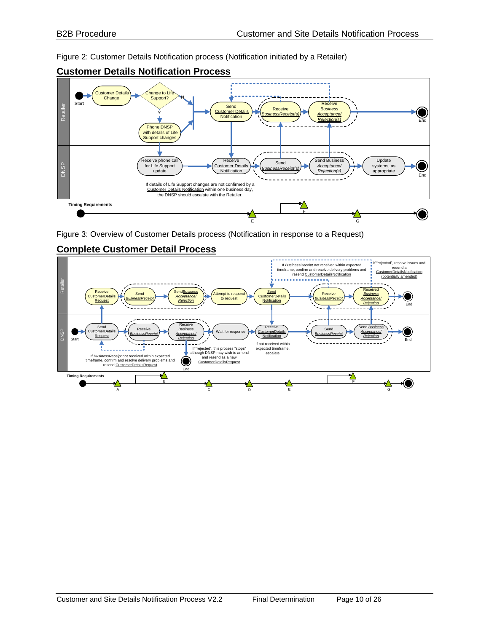Figure 2: Customer Details Notification process (Notification initiated by a Retailer)



#### **Customer Details Notification Process**

Figure 3: Overview of Customer Details process (Notification in response to a Request)



#### **Complete Customer Detail Process**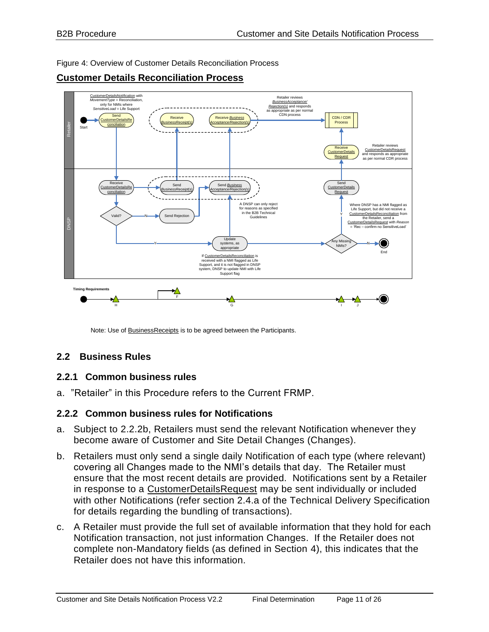Figure 4: Overview of Customer Details Reconciliation Process



#### **Customer Details Reconciliation Process**

Note: Use of BusinessReceipts is to be agreed between the Participants.

#### <span id="page-10-0"></span>**2.2 Business Rules**

#### <span id="page-10-1"></span>**2.2.1 Common business rules**

a. "Retailer" in this Procedure refers to the Current FRMP.

#### <span id="page-10-2"></span>**2.2.2 Common business rules for Notifications**

- <span id="page-10-3"></span>a. Subject to [2.2.2b,](#page-10-2) Retailers must send the relevant Notification whenever they become aware of Customer and Site Detail Changes (Changes).
- b. Retailers must only send a single daily Notification of each type (where relevant) covering all Changes made to the NMI's details that day. The Retailer must ensure that the most recent details are provided. Notifications sent by a Retailer in response to a CustomerDetailsRequest may be sent individually or included with other Notifications (refer section 2.4.a of the Technical Delivery Specification for details regarding the bundling of transactions).
- c. A Retailer must provide the full set of available information that they hold for each Notification transaction, not just information Changes. If the Retailer does not complete non-Mandatory fields (as defined in Section [4\)](#page-19-0), this indicates that the Retailer does not have this information.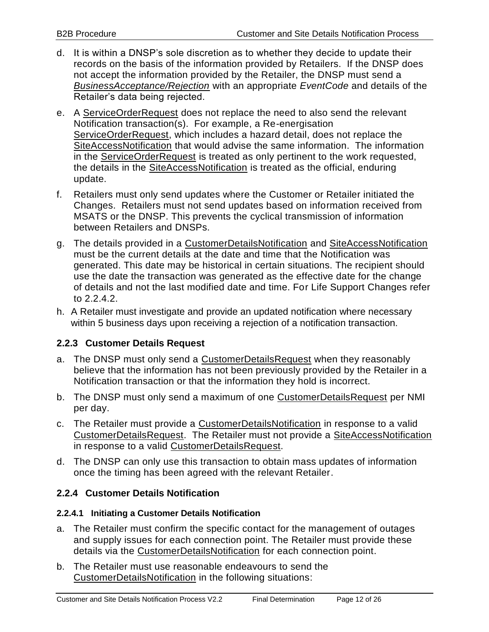- d. It is within a DNSP's sole discretion as to whether they decide to update their records on the basis of the information provided by Retailers. If the DNSP does not accept the information provided by the Retailer, the DNSP must send a *BusinessAcceptance/Rejection* with an appropriate *EventCode* and details of the Retailer's data being rejected.
- e. A ServiceOrderRequest does not replace the need to also send the relevant Notification transaction(s). For example, a Re-energisation ServiceOrderRequest, which includes a hazard detail, does not replace the SiteAccessNotification that would advise the same information. The information in the ServiceOrderRequest is treated as only pertinent to the work requested, the details in the SiteAccessNotification is treated as the official, enduring update.
- f. Retailers must only send updates where the Customer or Retailer initiated the Changes. Retailers must not send updates based on information received from MSATS or the DNSP. This prevents the cyclical transmission of information between Retailers and DNSPs.
- g. The details provided in a CustomerDetailsNotification and SiteAccessNotification must be the current details at the date and time that the Notification was generated. This date may be historical in certain situations. The recipient should use the date the transaction was generated as the effective date for the change of details and not the last modified date and time. For Life Support Changes refer to [2.2.4.2.](#page-12-1)
- h. A Retailer must investigate and provide an updated notification where necessary within 5 business days upon receiving a rejection of a notification transaction.

#### <span id="page-11-0"></span>**2.2.3 Customer Details Request**

- a. The DNSP must only send a CustomerDetailsRequest when they reasonably believe that the information has not been previously provided by the Retailer in a Notification transaction or that the information they hold is incorrect.
- b. The DNSP must only send a maximum of one CustomerDetailsRequest per NMI per day.
- c. The Retailer must provide a CustomerDetailsNotification in response to a valid CustomerDetailsRequest. The Retailer must not provide a SiteAccessNotification in response to a valid CustomerDetailsRequest.
- d. The DNSP can only use this transaction to obtain mass updates of information once the timing has been agreed with the relevant Retailer.

#### <span id="page-11-1"></span>**2.2.4 Customer Details Notification**

#### **2.2.4.1 Initiating a Customer Details Notification**

- a. The Retailer must confirm the specific contact for the management of outages and supply issues for each connection point. The Retailer must provide these details via the CustomerDetailsNotification for each connection point.
- b. The Retailer must use reasonable endeavours to send the CustomerDetailsNotification in the following situations: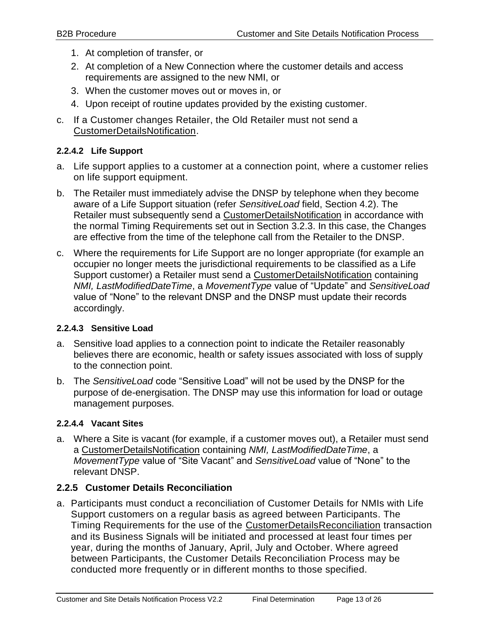- 1. At completion of transfer, or
- 2. At completion of a New Connection where the customer details and access requirements are assigned to the new NMI, or
- 3. When the customer moves out or moves in, or
- 4. Upon receipt of routine updates provided by the existing customer.
- c. If a Customer changes Retailer, the Old Retailer must not send a CustomerDetailsNotification.

#### <span id="page-12-1"></span>**2.2.4.2 Life Support**

- a. Life support applies to a customer at a connection point, where a customer relies on life support equipment.
- b. The Retailer must immediately advise the DNSP by telephone when they become aware of a Life Support situation (refer *SensitiveLoad* field, Section [4.2\)](#page-21-0). The Retailer must subsequently send a CustomerDetailsNotification in accordance with the normal Timing Requirements set out in Section [3.2.3.](#page-17-3) In this case, the Changes are effective from the time of the telephone call from the Retailer to the DNSP.
- c. Where the requirements for Life Support are no longer appropriate (for example an occupier no longer meets the jurisdictional requirements to be classified as a Life Support customer) a Retailer must send a CustomerDetailsNotification containing *NMI, LastModifiedDateTime*, a *MovementType* value of "Update" and *SensitiveLoad* value of "None" to the relevant DNSP and the DNSP must update their records accordingly.

#### **2.2.4.3 Sensitive Load**

- a. Sensitive load applies to a connection point to indicate the Retailer reasonably believes there are economic, health or safety issues associated with loss of supply to the connection point.
- b. The *SensitiveLoad* code "Sensitive Load" will not be used by the DNSP for the purpose of de-energisation. The DNSP may use this information for load or outage management purposes.

#### <span id="page-12-2"></span>**2.2.4.4 Vacant Sites**

<span id="page-12-3"></span>a. Where a Site is vacant (for example, if a customer moves out), a Retailer must send a CustomerDetailsNotification containing *NMI, LastModifiedDateTime*, a *MovementType* value of "Site Vacant" and *SensitiveLoad* value of "None" to the relevant DNSP.

#### <span id="page-12-0"></span>**2.2.5 Customer Details Reconciliation**

a. Participants must conduct a reconciliation of Customer Details for NMIs with Life Support customers on a regular basis as agreed between Participants. The Timing Requirements for the use of the CustomerDetailsReconciliation transaction and its Business Signals will be initiated and processed at least four times per year, during the months of January, April, July and October. Where agreed between Participants, the Customer Details Reconciliation Process may be conducted more frequently or in different months to those specified.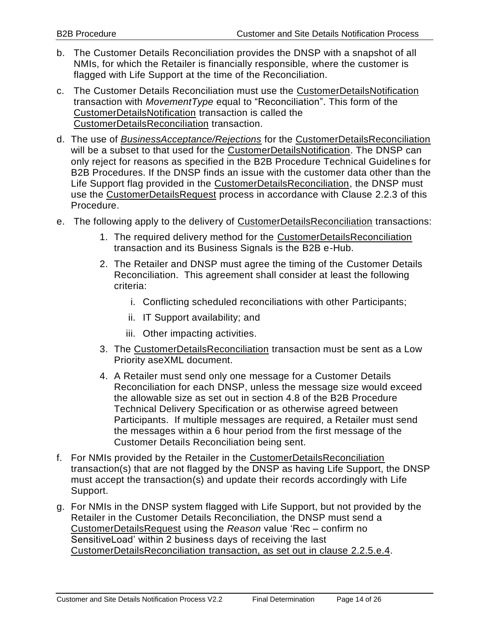- b. The Customer Details Reconciliation provides the DNSP with a snapshot of all NMIs, for which the Retailer is financially responsible, where the customer is flagged with Life Support at the time of the Reconciliation.
- c. The Customer Details Reconciliation must use the CustomerDetailsNotification transaction with *MovementType* equal to "Reconciliation". This form of the CustomerDetailsNotification transaction is called the CustomerDetailsReconciliation transaction.
- d. The use of *BusinessAcceptance/Rejections* for the CustomerDetailsReconciliation will be a subset to that used for the CustomerDetailsNotification. The DNSP can only reject for reasons as specified in the B2B Procedure Technical Guidelines for B2B Procedures. If the DNSP finds an issue with the customer data other than the Life Support flag provided in the CustomerDetailsReconciliation, the DNSP must use the CustomerDetailsRequest process in accordance with Clause [2.2.3](#page-11-0) of this Procedure.
- e. The following apply to the delivery of CustomerDetailsReconciliation transactions:
	- 1. The required delivery method for the CustomerDetailsReconciliation transaction and its Business Signals is the B2B e-Hub.
	- 2. The Retailer and DNSP must agree the timing of the Customer Details Reconciliation. This agreement shall consider at least the following criteria:
		- i. Conflicting scheduled reconciliations with other Participants;
		- ii. IT Support availability; and
		- iii. Other impacting activities.
	- 3. The CustomerDetailsReconciliation transaction must be sent as a Low Priority aseXML document.
	- 4. A Retailer must send only one message for a Customer Details Reconciliation for each DNSP, unless the message size would exceed the allowable size as set out in section 4.8 of the B2B Procedure Technical Delivery Specification or as otherwise agreed between Participants. If multiple messages are required, a Retailer must send the messages within a 6 hour period from the first message of the Customer Details Reconciliation being sent.
- <span id="page-13-0"></span>f. For NMIs provided by the Retailer in the CustomerDetailsReconciliation transaction(s) that are not flagged by the DNSP as having Life Support, the DNSP must accept the transaction(s) and update their records accordingly with Life Support.
- g. For NMIs in the DNSP system flagged with Life Support, but not provided by the Retailer in the Customer Details Reconciliation, the DNSP must send a CustomerDetailsRequest using the *Reason* value 'Rec – confirm no SensitiveLoad' within 2 business days of receiving the last CustomerDetailsReconciliation transaction, as set out in clause [2.2.5.](#page-12-0)[e.4.](#page-13-0)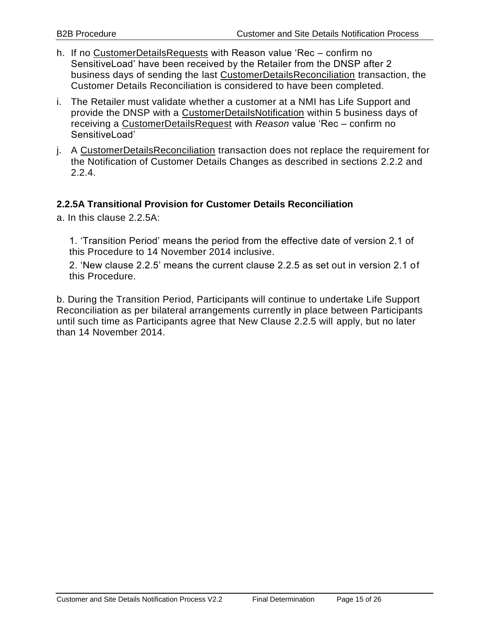- h. If no CustomerDetailsRequests with Reason value 'Rec confirm no SensitiveLoad' have been received by the Retailer from the DNSP after 2 business days of sending the last CustomerDetailsReconciliation transaction, the Customer Details Reconciliation is considered to have been completed.
- i. The Retailer must validate whether a customer at a NMI has Life Support and provide the DNSP with a CustomerDetailsNotification within 5 business days of receiving a CustomerDetailsRequest with *Reason* value 'Rec – confirm no SensitiveLoad'
- j. A CustomerDetailsReconciliation transaction does not replace the requirement for the Notification of Customer Details Changes as described in sections [2.2.2](#page-10-2) and [2.2.4.](#page-11-1)

#### **2.2.5A Transitional Provision for Customer Details Reconciliation**

a. In this clause 2.2.5A:

1. 'Transition Period' means the period from the effective date of version 2.1 of this Procedure to 14 November 2014 inclusive.

2. 'New clause 2.2.5' means the current clause 2.2.5 as set out in version 2.1 of this Procedure.

<span id="page-14-0"></span>b. During the Transition Period, Participants will continue to undertake Life Support Reconciliation as per bilateral arrangements currently in place between Participants until such time as Participants agree that New Clause 2.2.5 will apply, but no later than 14 November 2014.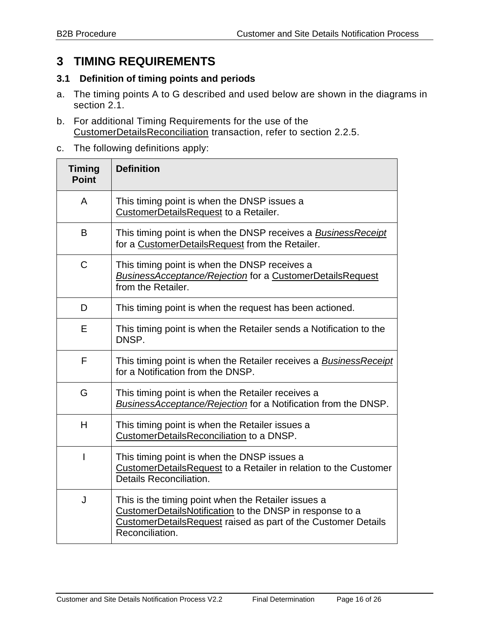## **3 TIMING REQUIREMENTS**

#### <span id="page-15-0"></span>**3.1 Definition of timing points and periods**

- a. The timing points A to G described and used below are shown in the diagrams in section [2.1.](#page-8-1)
- b. For additional Timing Requirements for the use of the CustomerDetailsReconciliation transaction, refer to section [2.2.5.](#page-12-0)
- c. The following definitions apply:

| <b>Timing</b><br><b>Point</b> | <b>Definition</b>                                                                                                                                                                                          |
|-------------------------------|------------------------------------------------------------------------------------------------------------------------------------------------------------------------------------------------------------|
| A                             | This timing point is when the DNSP issues a<br>CustomerDetailsRequest to a Retailer.                                                                                                                       |
| B                             | This timing point is when the DNSP receives a BusinessReceipt<br>for a CustomerDetailsRequest from the Retailer.                                                                                           |
| $\mathsf C$                   | This timing point is when the DNSP receives a<br><b>BusinessAcceptance/Rejection for a CustomerDetailsRequest</b><br>from the Retailer.                                                                    |
| D                             | This timing point is when the request has been actioned.                                                                                                                                                   |
| Е                             | This timing point is when the Retailer sends a Notification to the<br>DNSP.                                                                                                                                |
| F                             | This timing point is when the Retailer receives a <b>BusinessReceipt</b><br>for a Notification from the DNSP.                                                                                              |
| G                             | This timing point is when the Retailer receives a<br>BusinessAcceptance/Rejection for a Notification from the DNSP.                                                                                        |
| H                             | This timing point is when the Retailer issues a<br>CustomerDetailsReconciliation to a DNSP.                                                                                                                |
| L                             | This timing point is when the DNSP issues a<br>CustomerDetailsRequest to a Retailer in relation to the Customer<br>Details Reconciliation.                                                                 |
| J                             | This is the timing point when the Retailer issues a<br>CustomerDetailsNotification to the DNSP in response to a<br><b>CustomerDetailsRequest raised as part of the Customer Details</b><br>Reconciliation. |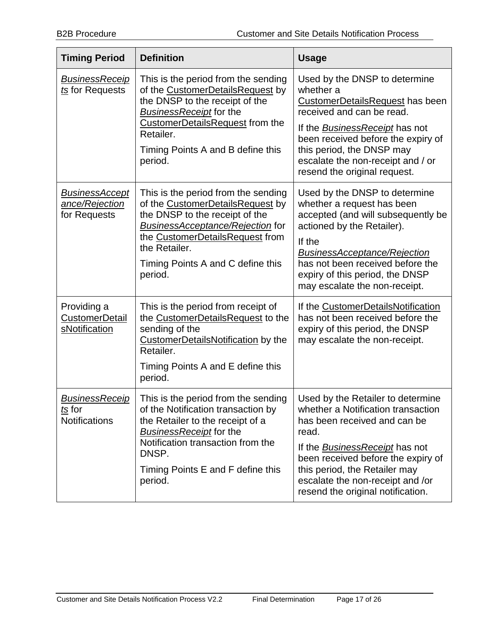| <b>Timing Period</b>                                    | <b>Definition</b>                                                                                                                                                                                                                                        | <b>Usage</b>                                                                                                                                                                                                                                                                                              |
|---------------------------------------------------------|----------------------------------------------------------------------------------------------------------------------------------------------------------------------------------------------------------------------------------------------------------|-----------------------------------------------------------------------------------------------------------------------------------------------------------------------------------------------------------------------------------------------------------------------------------------------------------|
| <u>BusinessReceip</u><br>ts for Requests                | This is the period from the sending<br>of the CustomerDetailsRequest by<br>the DNSP to the receipt of the<br><b>BusinessReceipt</b> for the<br><b>CustomerDetailsRequest from the</b><br>Retailer.<br>Timing Points A and B define this<br>period.       | Used by the DNSP to determine<br>whether a<br><b>CustomerDetailsRequest has been</b><br>received and can be read.<br>If the <b>BusinessReceipt</b> has not<br>been received before the expiry of<br>this period, the DNSP may<br>escalate the non-receipt and / or<br>resend the original request.        |
| <b>BusinessAccept</b><br>ance/Rejection<br>for Requests | This is the period from the sending<br>of the CustomerDetailsRequest by<br>the DNSP to the receipt of the<br><b>BusinessAcceptance/Rejection for</b><br>the CustomerDetailsRequest from<br>the Retailer.<br>Timing Points A and C define this<br>period. | Used by the DNSP to determine<br>whether a request has been<br>accepted (and will subsequently be<br>actioned by the Retailer).<br>If the<br><b>BusinessAcceptance/Rejection</b><br>has not been received before the<br>expiry of this period, the DNSP<br>may escalate the non-receipt.                  |
| Providing a<br><b>CustomerDetail</b><br>sNotification   | This is the period from receipt of<br>the CustomerDetailsRequest to the<br>sending of the<br>CustomerDetailsNotification by the<br>Retailer.<br>Timing Points A and E define this<br>period.                                                             | If the CustomerDetailsNotification<br>has not been received before the<br>expiry of this period, the DNSP<br>may escalate the non-receipt.                                                                                                                                                                |
| <b>BusinessReceip</b><br>ts for<br><b>Notifications</b> | This is the period from the sending<br>of the Notification transaction by<br>the Retailer to the receipt of a<br><b>BusinessReceipt</b> for the<br>Notification transaction from the<br>DNSP.<br>Timing Points E and F define this<br>period.            | Used by the Retailer to determine<br>whether a Notification transaction<br>has been received and can be<br>read.<br>If the <b>BusinessReceipt</b> has not<br>been received before the expiry of<br>this period, the Retailer may<br>escalate the non-receipt and /or<br>resend the original notification. |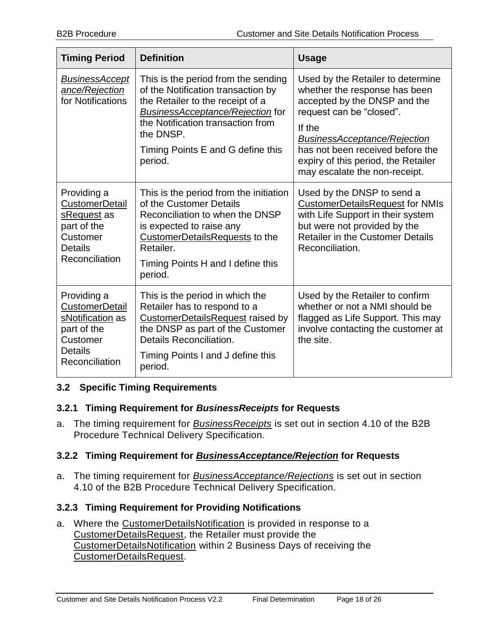| <b>Timing Period</b>                                                                                                    | <b>Definition</b>                                                                                                                                                                                                                                          | <b>Usage</b>                                                                                                                                                                                                                                                                                |
|-------------------------------------------------------------------------------------------------------------------------|------------------------------------------------------------------------------------------------------------------------------------------------------------------------------------------------------------------------------------------------------------|---------------------------------------------------------------------------------------------------------------------------------------------------------------------------------------------------------------------------------------------------------------------------------------------|
| <b>BusinessAccept</b><br>ance/Rejection<br>for Notifications                                                            | This is the period from the sending<br>of the Notification transaction by<br>the Retailer to the receipt of a<br><b>BusinessAcceptance/Rejection for</b><br>the Notification transaction from<br>the DNSP.<br>Timing Points E and G define this<br>period. | Used by the Retailer to determine<br>whether the response has been<br>accepted by the DNSP and the<br>request can be "closed".<br>If the<br><b>BusinessAcceptance/Rejection</b><br>has not been received before the<br>expiry of this period, the Retailer<br>may escalate the non-receipt. |
| Providing a<br><b>CustomerDetail</b><br>sRequest as<br>part of the<br>Customer<br><b>Details</b><br>Reconciliation      | This is the period from the initiation<br>of the Customer Details<br>Reconciliation to when the DNSP<br>is expected to raise any<br><b>CustomerDetailsRequests to the</b><br>Retailer.<br>Timing Points H and I define this<br>period.                     | Used by the DNSP to send a<br><b>CustomerDetailsRequest for NMIs</b><br>with Life Support in their system<br>but were not provided by the<br><b>Retailer in the Customer Details</b><br>Reconciliation.                                                                                     |
| Providing a<br><b>CustomerDetail</b><br>sNotification as<br>part of the<br>Customer<br><b>Details</b><br>Reconciliation | This is the period in which the<br>Retailer has to respond to a<br><b>CustomerDetailsRequest raised by</b><br>the DNSP as part of the Customer<br>Details Reconciliation.<br>Timing Points I and J define this<br>period.                                  | Used by the Retailer to confirm<br>whether or not a NMI should be<br>flagged as Life Support. This may<br>involve contacting the customer at<br>the site.                                                                                                                                   |

#### <span id="page-17-0"></span>**3.2 Specific Timing Requirements**

#### <span id="page-17-1"></span>**3.2.1 Timing Requirement for** *BusinessReceipts* **for Requests**

a. The timing requirement for *BusinessReceipts* is set out in section 4.10 of the B2B Procedure Technical Delivery Specification.

#### <span id="page-17-2"></span>**3.2.2 Timing Requirement for** *BusinessAcceptance/Rejection* **for Requests**

a. The timing requirement for *BusinessAcceptance/Rejections* is set out in section 4.10 of the B2B Procedure Technical Delivery Specification.

#### <span id="page-17-3"></span>**3.2.3 Timing Requirement for Providing Notifications**

a. Where the CustomerDetailsNotification is provided in response to a CustomerDetailsRequest, the Retailer must provide the CustomerDetailsNotification within 2 Business Days of receiving the CustomerDetailsRequest.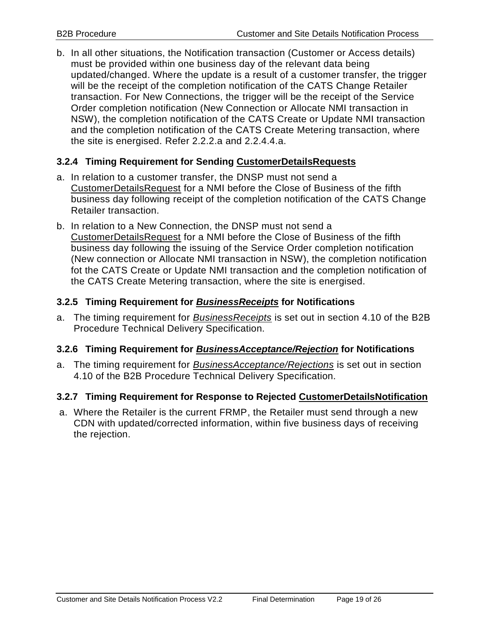b. In all other situations, the Notification transaction (Customer or Access details) must be provided within one business day of the relevant data being updated/changed. Where the update is a result of a customer transfer, the trigger will be the receipt of the completion notification of the CATS Change Retailer transaction. For New Connections, the trigger will be the receipt of the Service Order completion notification (New Connection or Allocate NMI transaction in NSW), the completion notification of the CATS Create or Update NMI transaction and the completion notification of the CATS Create Metering transaction, where the site is energised. Refer [2.2.2.](#page-10-2)[a](#page-10-3) and [2.2.4.4.](#page-12-2)[a.](#page-12-3)

#### <span id="page-18-0"></span>**3.2.4 Timing Requirement for Sending CustomerDetailsRequests**

- a. In relation to a customer transfer, the DNSP must not send a CustomerDetailsRequest for a NMI before the Close of Business of the fifth business day following receipt of the completion notification of the CATS Change Retailer transaction.
- b. In relation to a New Connection, the DNSP must not send a CustomerDetailsRequest for a NMI before the Close of Business of the fifth business day following the issuing of the Service Order completion notification (New connection or Allocate NMI transaction in NSW), the completion notification fot the CATS Create or Update NMI transaction and the completion notification of the CATS Create Metering transaction, where the site is energised.

#### <span id="page-18-1"></span>**3.2.5 Timing Requirement for** *BusinessReceipts* **for Notifications**

a. The timing requirement for *BusinessReceipts* is set out in section 4.10 of the B2B Procedure Technical Delivery Specification.

#### <span id="page-18-2"></span>**3.2.6 Timing Requirement for** *BusinessAcceptance/Rejection* **for Notifications**

a. The timing requirement for *BusinessAcceptance/Rejections* is set out in section 4.10 of the B2B Procedure Technical Delivery Specification.

#### <span id="page-18-3"></span>**3.2.7 Timing Requirement for Response to Rejected CustomerDetailsNotification**

a. Where the Retailer is the current FRMP, the Retailer must send through a new CDN with updated/corrected information, within five business days of receiving the rejection.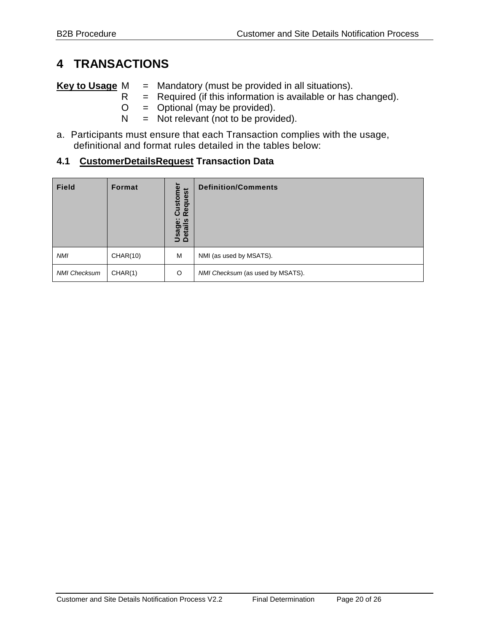## <span id="page-19-0"></span>**4 TRANSACTIONS**

**Key to Usage** M = Mandatory (must be provided in all situations).

- $R$  = Required (if this information is available or has changed).<br>O = Optional (may be provided).
- $=$  Optional (may be provided).
- $N = Not$  relevant (not to be provided).
- a. Participants must ensure that each Transaction complies with the usage, definitional and format rules detailed in the tables below:

#### <span id="page-19-1"></span>**4.1 CustomerDetailsRequest Transaction Data**

| <b>Field</b>        | Format   | $\overline{\mathbf{v}}$<br>Custome<br>Request<br>ö<br>౨<br>Usagi<br>Detail | <b>Definition/Comments</b>       |
|---------------------|----------|----------------------------------------------------------------------------|----------------------------------|
| <b>NMI</b>          | CHAR(10) | M                                                                          | NMI (as used by MSATS).          |
| <b>NMI Checksum</b> | CHAR(1)  | $\circ$                                                                    | NMI Checksum (as used by MSATS). |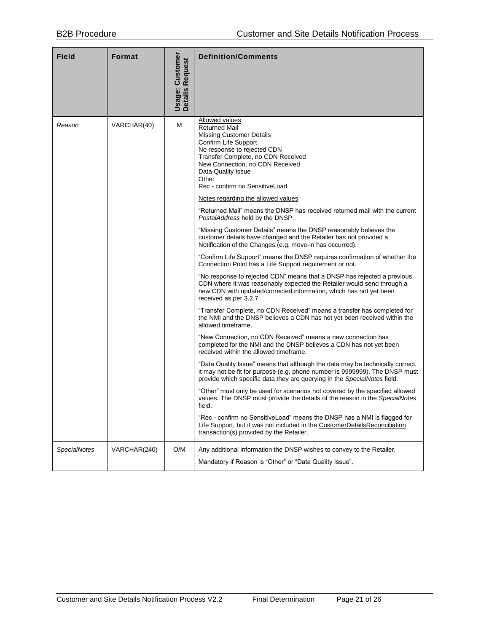| Field               | Format       | Customer<br><b>Request</b><br>Usage:<br><b>Details</b> | <b>Definition/Comments</b>                                                                                                                                                                                                                                                                                                                                                                                                                                                                                                                                                                                                                                                                                                                                                                                                                                                                                                                                                                                                                                                                                                                                                                                                                                                                                                                                                                                                                                                                                                                                                                                                                                                                                                                                                                                                                                                                                                                                                                                                           |
|---------------------|--------------|--------------------------------------------------------|--------------------------------------------------------------------------------------------------------------------------------------------------------------------------------------------------------------------------------------------------------------------------------------------------------------------------------------------------------------------------------------------------------------------------------------------------------------------------------------------------------------------------------------------------------------------------------------------------------------------------------------------------------------------------------------------------------------------------------------------------------------------------------------------------------------------------------------------------------------------------------------------------------------------------------------------------------------------------------------------------------------------------------------------------------------------------------------------------------------------------------------------------------------------------------------------------------------------------------------------------------------------------------------------------------------------------------------------------------------------------------------------------------------------------------------------------------------------------------------------------------------------------------------------------------------------------------------------------------------------------------------------------------------------------------------------------------------------------------------------------------------------------------------------------------------------------------------------------------------------------------------------------------------------------------------------------------------------------------------------------------------------------------------|
| Reason              | VARCHAR(40)  | м                                                      | <b>Allowed values</b><br><b>Returned Mail</b><br><b>Missing Customer Details</b><br>Confirm Life Support<br>No response to rejected CDN<br>Transfer Complete, no CDN Received<br>New Connection, no CDN Received<br>Data Quality Issue<br>Other<br>Rec - confirm no SensitiveLoad<br>Notes regarding the allowed values<br>"Returned Mail" means the DNSP has received returned mail with the current<br>PostalAddress held by the DNSP.<br>"Missing Customer Details" means the DNSP reasonably believes the<br>customer details have changed and the Retailer has not provided a<br>Notification of the Changes (e.g. move-in has occurred).<br>"Confirm Life Support" means the DNSP requires confirmation of whether the<br>Connection Point has a Life Support requirement or not.<br>"No response to rejected CDN" means that a DNSP has rejected a previous<br>CDN where it was reasonably expected the Retailer would send through a<br>new CDN with updated/corrected information, which has not yet been<br>received as per 3.2.7.<br>"Transfer Complete, no CDN Received" means a transfer has completed for<br>the NMI and the DNSP believes a CDN has not yet been received within the<br>allowed timeframe.<br>"New Connection, no CDN Received" means a new connection has<br>completed for the NMI and the DNSP believes a CDN has not yet been<br>received within the allowed timeframe.<br>"Data Quality Issue" means that although the data may be technically correct,<br>it may not be fit for purpose (e.g. phone number is 9999999). The DNSP must<br>provide which specific data they are querying in the SpecialNotes field.<br>"Other" must only be used for scenarios not covered by the specified allowed<br>values. The DNSP must provide the details of the reason in the SpecialNotes<br>field.<br>"Rec - confirm no SensitiveLoad" means the DNSP has a NMI is flagged for<br>Life Support, but it was not included in the CustomerDetailsReconciliation<br>transaction(s) provided by the Retailer. |
| <b>SpecialNotes</b> | VARCHAR(240) | O/M                                                    | Any additional information the DNSP wishes to convey to the Retailer.<br>Mandatory if Reason is "Other" or "Data Quality Issue".                                                                                                                                                                                                                                                                                                                                                                                                                                                                                                                                                                                                                                                                                                                                                                                                                                                                                                                                                                                                                                                                                                                                                                                                                                                                                                                                                                                                                                                                                                                                                                                                                                                                                                                                                                                                                                                                                                     |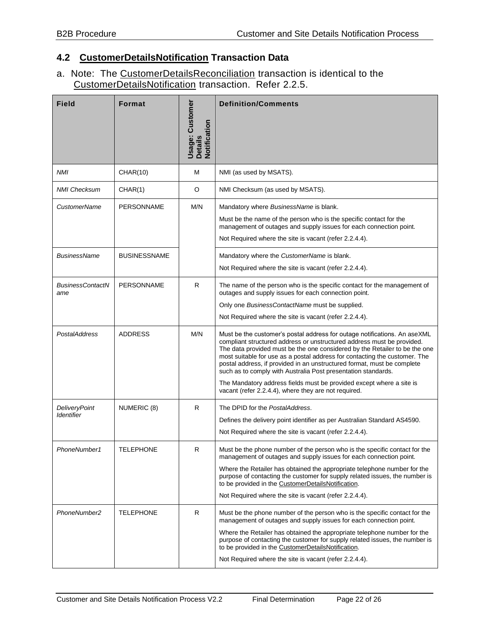#### <span id="page-21-0"></span>**4.2 CustomerDetailsNotification Transaction Data**

a. Note: The CustomerDetailsReconciliation transaction is identical to the CustomerDetailsNotification transaction. Refer [2.2.5.](#page-12-0)

| <b>Field</b>                              | <b>Format</b>       | <b>Jsage: Customer</b><br>Details<br>Notification | <b>Definition/Comments</b>                                                                                                                                                                                                                                                                                                                                                                                                                                                                                                                                                                  |
|-------------------------------------------|---------------------|---------------------------------------------------|---------------------------------------------------------------------------------------------------------------------------------------------------------------------------------------------------------------------------------------------------------------------------------------------------------------------------------------------------------------------------------------------------------------------------------------------------------------------------------------------------------------------------------------------------------------------------------------------|
| NMI                                       | <b>CHAR(10)</b>     | М                                                 | NMI (as used by MSATS).                                                                                                                                                                                                                                                                                                                                                                                                                                                                                                                                                                     |
| <b>NMI Checksum</b>                       | CHAR(1)             | O                                                 | NMI Checksum (as used by MSATS).                                                                                                                                                                                                                                                                                                                                                                                                                                                                                                                                                            |
| <b>CustomerName</b>                       | <b>PERSONNAME</b>   | M/N                                               | Mandatory where BusinessName is blank.<br>Must be the name of the person who is the specific contact for the<br>management of outages and supply issues for each connection point.<br>Not Required where the site is vacant (refer 2.2.4.4).                                                                                                                                                                                                                                                                                                                                                |
| <b>BusinessName</b>                       | <b>BUSINESSNAME</b> |                                                   | Mandatory where the CustomerName is blank.<br>Not Required where the site is vacant (refer 2.2.4.4).                                                                                                                                                                                                                                                                                                                                                                                                                                                                                        |
| <b>BusinessContactN</b><br>ame            | <b>PERSONNAME</b>   | R                                                 | The name of the person who is the specific contact for the management of<br>outages and supply issues for each connection point.<br>Only one BusinessContactName must be supplied.<br>Not Required where the site is vacant (refer 2.2.4.4).                                                                                                                                                                                                                                                                                                                                                |
| <b>PostalAddress</b>                      | <b>ADDRESS</b>      | M/N                                               | Must be the customer's postal address for outage notifications. An aseXML<br>compliant structured address or unstructured address must be provided.<br>The data provided must be the one considered by the Retailer to be the one<br>most suitable for use as a postal address for contacting the customer. The<br>postal address, if provided in an unstructured format, must be complete<br>such as to comply with Australia Post presentation standards.<br>The Mandatory address fields must be provided except where a site is<br>vacant (refer 2.2.4.4), where they are not required. |
| <b>DeliveryPoint</b><br><b>Identifier</b> | NUMERIC (8)         | R                                                 | The DPID for the PostalAddress.<br>Defines the delivery point identifier as per Australian Standard AS4590.<br>Not Required where the site is vacant (refer 2.2.4.4).                                                                                                                                                                                                                                                                                                                                                                                                                       |
| PhoneNumber1                              | <b>TELEPHONE</b>    | R                                                 | Must be the phone number of the person who is the specific contact for the<br>management of outages and supply issues for each connection point.<br>Where the Retailer has obtained the appropriate telephone number for the<br>purpose of contacting the customer for supply related issues, the number is<br>to be provided in the CustomerDetailsNotification.<br>Not Required where the site is vacant (refer 2.2.4.4).                                                                                                                                                                 |
| PhoneNumber2                              | <b>TELEPHONE</b>    | R                                                 | Must be the phone number of the person who is the specific contact for the<br>management of outages and supply issues for each connection point.<br>Where the Retailer has obtained the appropriate telephone number for the<br>purpose of contacting the customer for supply related issues, the number is<br>to be provided in the CustomerDetailsNotification.<br>Not Required where the site is vacant (refer 2.2.4.4).                                                                                                                                                                 |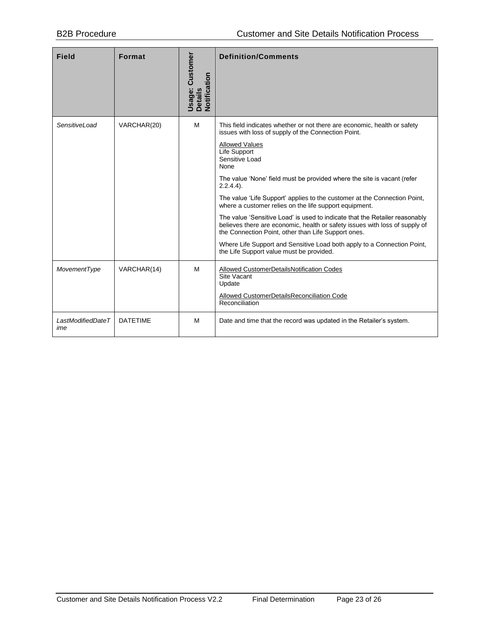| <b>Field</b>             | <b>Format</b>   | Jsage: Customer<br>Details<br>Notification | <b>Definition/Comments</b>                                                                                                                                                                                                                                                                                                                                                                                                                                                                                                                                                                                                                                                                                                                                                              |
|--------------------------|-----------------|--------------------------------------------|-----------------------------------------------------------------------------------------------------------------------------------------------------------------------------------------------------------------------------------------------------------------------------------------------------------------------------------------------------------------------------------------------------------------------------------------------------------------------------------------------------------------------------------------------------------------------------------------------------------------------------------------------------------------------------------------------------------------------------------------------------------------------------------------|
| <b>SensitiveLoad</b>     | VARCHAR(20)     | м                                          | This field indicates whether or not there are economic, health or safety<br>issues with loss of supply of the Connection Point.<br><b>Allowed Values</b><br>Life Support<br>Sensitive Load<br><b>None</b><br>The value 'None' field must be provided where the site is vacant (refer<br>$2.2.4.4$ ).<br>The value 'Life Support' applies to the customer at the Connection Point,<br>where a customer relies on the life support equipment.<br>The value 'Sensitive Load' is used to indicate that the Retailer reasonably<br>believes there are economic, health or safety issues with loss of supply of<br>the Connection Point, other than Life Support ones.<br>Where Life Support and Sensitive Load both apply to a Connection Point,<br>the Life Support value must be provided. |
| MovementType             | VARCHAR(14)     | м                                          | Allowed CustomerDetailsNotification Codes<br>Site Vacant<br>Update<br>Allowed CustomerDetailsReconciliation Code<br>Reconciliation                                                                                                                                                                                                                                                                                                                                                                                                                                                                                                                                                                                                                                                      |
| LastModifiedDateT<br>ime | <b>DATFTIMF</b> | м                                          | Date and time that the record was updated in the Retailer's system.                                                                                                                                                                                                                                                                                                                                                                                                                                                                                                                                                                                                                                                                                                                     |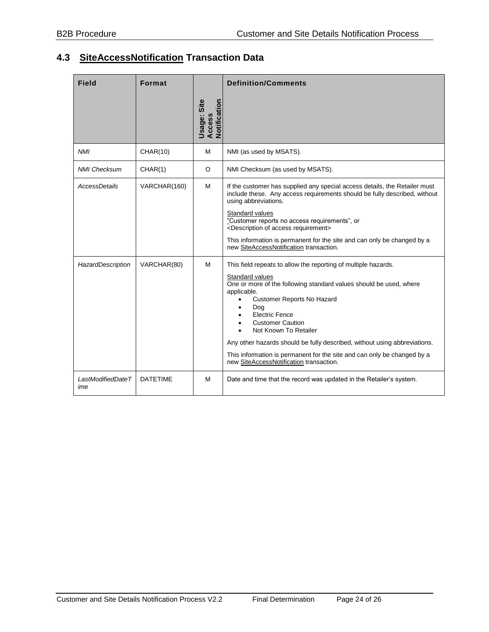### <span id="page-23-0"></span>**4.3 SiteAccessNotification Transaction Data**

| <b>Field</b>             | <b>Format</b>   |                                       | <b>Definition/Comments</b>                                                                                                                                                                                                                                                                                                                                                                                                                                                                  |  |
|--------------------------|-----------------|---------------------------------------|---------------------------------------------------------------------------------------------------------------------------------------------------------------------------------------------------------------------------------------------------------------------------------------------------------------------------------------------------------------------------------------------------------------------------------------------------------------------------------------------|--|
|                          |                 | Usage: Site<br>Access<br>Notification |                                                                                                                                                                                                                                                                                                                                                                                                                                                                                             |  |
| <b>NMI</b>               | <b>CHAR(10)</b> | M                                     | NMI (as used by MSATS).                                                                                                                                                                                                                                                                                                                                                                                                                                                                     |  |
| <b>NMI Checksum</b>      | CHAR(1)         | O                                     | NMI Checksum (as used by MSATS).                                                                                                                                                                                                                                                                                                                                                                                                                                                            |  |
| AccessDetails            | VARCHAR(160)    | M                                     | If the customer has supplied any special access details, the Retailer must<br>include these. Any access requirements should be fully described, without<br>using abbreviations.                                                                                                                                                                                                                                                                                                             |  |
|                          |                 |                                       | Standard values<br>"Customer reports no access requirements", or<br><description access="" of="" requirement=""></description>                                                                                                                                                                                                                                                                                                                                                              |  |
|                          |                 |                                       | This information is permanent for the site and can only be changed by a<br>new SiteAccessNotification transaction.                                                                                                                                                                                                                                                                                                                                                                          |  |
| HazardDescription        | VARCHAR(80)     | м                                     | This field repeats to allow the reporting of multiple hazards.<br>Standard values<br>One or more of the following standard values should be used, where<br>applicable.<br>Customer Reports No Hazard<br>Dog<br><b>Electric Fence</b><br><b>Customer Caution</b><br>Not Known To Retailer<br>Any other hazards should be fully described, without using abbreviations.<br>This information is permanent for the site and can only be changed by a<br>new SiteAccessNotification transaction. |  |
| LastModifiedDateT<br>ime | <b>DATETIME</b> | M                                     | Date and time that the record was updated in the Retailer's system.                                                                                                                                                                                                                                                                                                                                                                                                                         |  |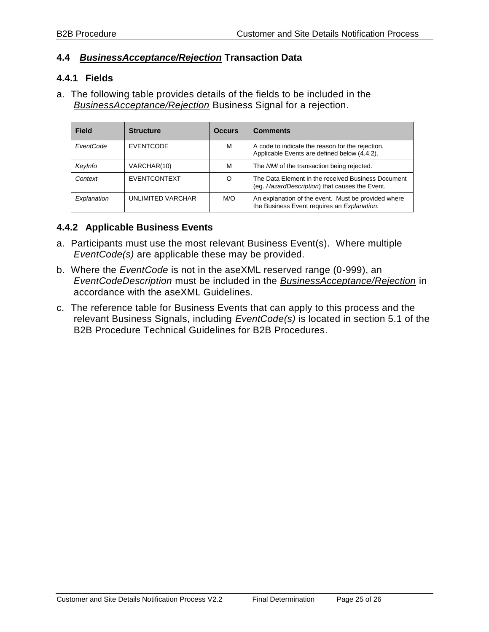#### <span id="page-24-0"></span>**4.4** *BusinessAcceptance/Rejection* **Transaction Data**

#### <span id="page-24-1"></span>**4.4.1 Fields**

a. The following table provides details of the fields to be included in the *BusinessAcceptance/Rejection* Business Signal for a rejection.

| <b>Field</b> | <b>Structure</b>    | <b>Occurs</b> | <b>Comments</b>                                                                                      |
|--------------|---------------------|---------------|------------------------------------------------------------------------------------------------------|
| EventCode    | <b>EVENTCODE</b>    | M             | A code to indicate the reason for the rejection.<br>Applicable Events are defined below (4.4.2).     |
| KeyInfo      | VARCHAR(10)         | M             | The NMI of the transaction being rejected.                                                           |
| Context      | <b>EVENTCONTEXT</b> | O             | The Data Element in the received Business Document<br>(eg. HazardDescription) that causes the Event. |
| Explanation  | UNLIMITED VARCHAR   | M/O           | An explanation of the event. Must be provided where<br>the Business Event requires an Explanation.   |

#### <span id="page-24-2"></span>**4.4.2 Applicable Business Events**

- a. Participants must use the most relevant Business Event(s). Where multiple *EventCode(s)* are applicable these may be provided.
- b. Where the *EventCode* is not in the aseXML reserved range (0-999), an *EventCodeDescription* must be included in the *BusinessAcceptance/Rejection* in accordance with the aseXML Guidelines.
- c. The reference table for Business Events that can apply to this process and the relevant Business Signals, including *EventCode(s)* is located in section 5.1 of the B2B Procedure Technical Guidelines for B2B Procedures.